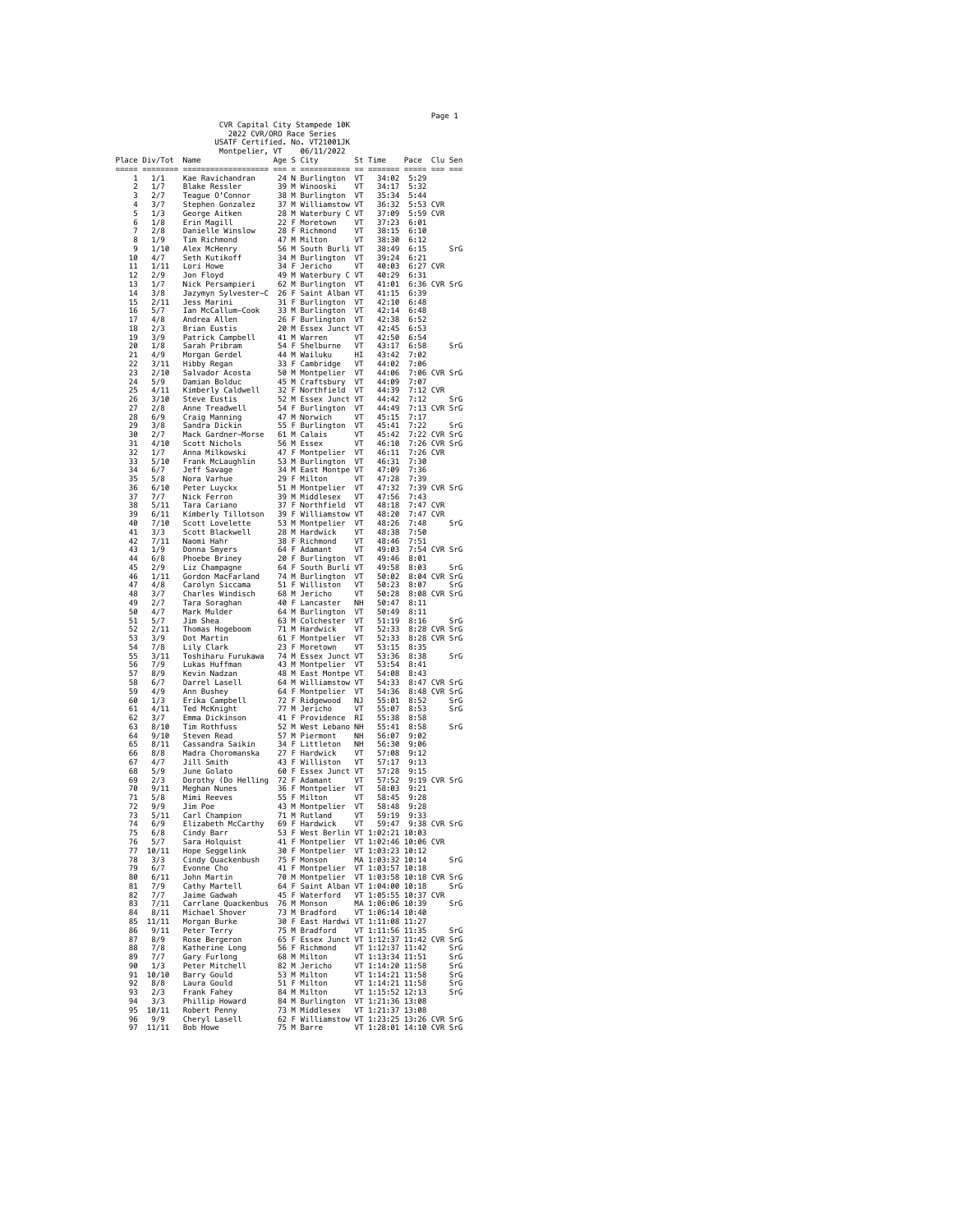|                                                           |               |                                                                                                                                                                                                                             |      |   |                                                                                                                                                                                                                                                                                                                                                                                                                                                                                                         |          | Page 1                   |                      |         |            |
|-----------------------------------------------------------|---------------|-----------------------------------------------------------------------------------------------------------------------------------------------------------------------------------------------------------------------------|------|---|---------------------------------------------------------------------------------------------------------------------------------------------------------------------------------------------------------------------------------------------------------------------------------------------------------------------------------------------------------------------------------------------------------------------------------------------------------------------------------------------------------|----------|--------------------------|----------------------|---------|------------|
| CVR Capital City Stampede 10K<br>2022 CVR/ORO Race Series |               |                                                                                                                                                                                                                             |      |   |                                                                                                                                                                                                                                                                                                                                                                                                                                                                                                         |          |                          |                      |         |            |
|                                                           |               | USATF Certified. No. VT21001JK<br>Montpelier, VT                                                                                                                                                                            |      |   | 06/11/2022                                                                                                                                                                                                                                                                                                                                                                                                                                                                                              |          |                          |                      |         |            |
|                                                           | Place Div/Tot | Name                                                                                                                                                                                                                        |      |   | Age S City                                                                                                                                                                                                                                                                                                                                                                                                                                                                                              |          | St Time                  | Pace                 | Clu Sen |            |
| 1                                                         | 1/1           | =============<br>Kae Ravichandran                                                                                                                                                                                           |      |   | $\begin{minipage}{.4\linewidth} \begin{tabular}{l} \multicolumn{2}{c}{\textbf{1}} & \multicolumn{2}{c}{\textbf{2}} & \multicolumn{2}{c}{\textbf{3}} & \multicolumn{2}{c}{\textbf{4}} \\ \multicolumn{2}{c}{\textbf{5}} & \multicolumn{2}{c}{\textbf{6}} & \multicolumn{2}{c}{\textbf{7}} & \multicolumn{2}{c}{\textbf{8}} \\ \multicolumn{2}{c}{\textbf{7}} & \multicolumn{2}{c}{\textbf{8}} & \multicolumn{2}{c}{\textbf{9}} & \multicolumn{2}{c}{\textbf{1}} \\ \multicolumn{2}{c$<br>24 N Burlington | VT       | ======<br>34:02          | 5:29                 |         |            |
| 2                                                         | 1/7           | Blake Ressler                                                                                                                                                                                                               |      |   | 39 M Winooski                                                                                                                                                                                                                                                                                                                                                                                                                                                                                           | VT       | 34:17                    | 5:32                 |         |            |
| 3<br>4                                                    | 2/7<br>3/7    | Teague O'Connor<br>Stephen Gonzalez                                                                                                                                                                                         |      |   | 38 M Burlington<br>37 M Williamstow VT                                                                                                                                                                                                                                                                                                                                                                                                                                                                  | VT       | 35:34<br>36:32           | 5:44<br>5:53 CVR     |         |            |
| 5                                                         | 1/3<br>1/8    | George Aitken                                                                                                                                                                                                               |      |   | 28 M Waterbury C VT                                                                                                                                                                                                                                                                                                                                                                                                                                                                                     | VT       | 37:09                    | 5:59 CVR             |         |            |
| 6<br>7                                                    | 2/8           | Erin Magill<br>Danielle Winslow                                                                                                                                                                                             |      |   | 22 F Moretown<br>28 F Richmond                                                                                                                                                                                                                                                                                                                                                                                                                                                                          | VT       | 37:23<br>38:15           | 6:01<br>6:10         |         |            |
| 8<br>9                                                    | 1/9<br>1/10   | Tim Richmond<br>Alex McHenry                                                                                                                                                                                                |      |   | 47 M Milton<br>56 M South Burli VT                                                                                                                                                                                                                                                                                                                                                                                                                                                                      | VT       | 38:30<br>38:49           | 6:12<br>6:15         |         | SrG        |
| 10                                                        | 4/7           | Seth Kutikoff                                                                                                                                                                                                               |      |   | 34 M Burlington                                                                                                                                                                                                                                                                                                                                                                                                                                                                                         | VT       | 39:24                    | 6:21                 |         |            |
| 11<br>12                                                  | 1/11<br>2/9   | Lori Howe<br>Jon Floyd                                                                                                                                                                                                      | 34 F |   | Jericho<br>49 M Waterbury C VT                                                                                                                                                                                                                                                                                                                                                                                                                                                                          | VT       | 40:03<br>40:29           | 6:27 CVR<br>6:31     |         |            |
| 13                                                        | 1/7           | Nick Persampieri                                                                                                                                                                                                            |      |   | 62 M Burlington                                                                                                                                                                                                                                                                                                                                                                                                                                                                                         | VT       | 41:01                    | 6:36 CVR SrG         |         |            |
| 14<br>15                                                  | 3/8<br>2/11   | Jazymyn Sylvester-C<br>Jess Marini                                                                                                                                                                                          | 26 F |   | Saint Alban VT<br>31 F Burlington                                                                                                                                                                                                                                                                                                                                                                                                                                                                       | VT       | 41:15<br>42:10           | 6:39<br>6:48         |         |            |
| 16                                                        | 5/7           | Ian McCallum-Cook                                                                                                                                                                                                           |      |   | 33 M Burlington                                                                                                                                                                                                                                                                                                                                                                                                                                                                                         | VT       | 42:14                    | 6:48                 |         |            |
| 17<br>18                                                  | 4/8<br>2/3    | Andrea Allen<br>Brian Eustis                                                                                                                                                                                                |      |   | 26 F Burlington<br>20 M Essex Junct VT                                                                                                                                                                                                                                                                                                                                                                                                                                                                  | VT       | 42:38<br>42:45           | 6:52<br>6:53         |         |            |
| 19                                                        | 3/9           | Patrick Campbell                                                                                                                                                                                                            |      |   | 41 M Warren                                                                                                                                                                                                                                                                                                                                                                                                                                                                                             | VT       | 42:50                    | 6:54                 |         |            |
| 20<br>21                                                  | 1/8<br>4/9    | Sarah Pribram<br>Morgan Gerdel                                                                                                                                                                                              |      |   | 54 F Shelburne<br>44 M Wailuku                                                                                                                                                                                                                                                                                                                                                                                                                                                                          | VT<br>НI | 43:17<br>43:42           | 6:58<br>7:02         |         | SrG        |
| 22                                                        | 3/11          | Hibby Regan                                                                                                                                                                                                                 |      |   | 33 F Cambridge                                                                                                                                                                                                                                                                                                                                                                                                                                                                                          | VT       | 44:02                    | 7:06                 |         |            |
| 23<br>24                                                  | 2/10<br>5/9   | Salvador Acosta<br>Damian Bolduc                                                                                                                                                                                            |      |   | 50 M Montpelier<br>45 M Craftsbury                                                                                                                                                                                                                                                                                                                                                                                                                                                                      | VT<br>VT | 44:06<br>44:09           | 7:06 CVR SrG<br>7:07 |         |            |
| 25                                                        | 4/11          | Kimberly Caldwell                                                                                                                                                                                                           |      |   | 32 F Northfield                                                                                                                                                                                                                                                                                                                                                                                                                                                                                         | VT       | 44:39                    | 7:12 CVR             |         |            |
| 26<br>27                                                  | 3/10<br>2/8   | Steve Eustis<br>Anne Treadwell                                                                                                                                                                                              |      |   | 52 M Essex Junct VT<br>54 F Burlington                                                                                                                                                                                                                                                                                                                                                                                                                                                                  | VT       | 44:42<br>44:49           | 7:12<br>7:13 CVR SrG |         | SrG        |
| 28                                                        | 6/9           | Craig Manning                                                                                                                                                                                                               |      |   | 47 M Norwich                                                                                                                                                                                                                                                                                                                                                                                                                                                                                            | VT       | 45:15                    | 7:17                 |         |            |
| 29<br>30                                                  | 3/8<br>2/7    | Sandra Dickin<br>Mack Gardner-Morse                                                                                                                                                                                         |      |   | 55 F Burlington<br>61 M Calais                                                                                                                                                                                                                                                                                                                                                                                                                                                                          | VT<br>VT | 45:41<br>45:42           | 7:22<br>7:22 CVR SrG |         | SrG        |
| 31                                                        | 4/10          | Scott Nichols                                                                                                                                                                                                               |      |   | 56 M Essex                                                                                                                                                                                                                                                                                                                                                                                                                                                                                              | VT       | 46:10                    | 7:26 CVR SrG         |         |            |
| 32<br>33                                                  | 1/7           | Anna Milkowski<br>Frank McLaughlin                                                                                                                                                                                          |      |   | 47 F Montpelier                                                                                                                                                                                                                                                                                                                                                                                                                                                                                         | VT<br>VT | 46:11<br>46:31           | 7:26 CVR<br>7:30     |         |            |
| 34                                                        | 5/10<br>6/7   | Jeff Savage                                                                                                                                                                                                                 |      |   | 53 M Burlington<br>34 M East Montpe VT                                                                                                                                                                                                                                                                                                                                                                                                                                                                  |          | 47:09                    | 7:36                 |         |            |
| 35                                                        | 5/8           | Nora Varhue                                                                                                                                                                                                                 |      |   | 29 F Milton                                                                                                                                                                                                                                                                                                                                                                                                                                                                                             | VT       | 47:28<br>47:32           | 7:39                 |         |            |
| 36<br>37                                                  | 6/10<br>7/7   | Peter Luyckx<br>Nick Ferron                                                                                                                                                                                                 |      |   | 51 M Montpelier<br>39 M Middlesex                                                                                                                                                                                                                                                                                                                                                                                                                                                                       | VT<br>VT | 47:56                    | 7:39 CVR SrG<br>7:43 |         |            |
| 38                                                        | 5/11          | Tara Cariano                                                                                                                                                                                                                |      |   | 37 F Northfield                                                                                                                                                                                                                                                                                                                                                                                                                                                                                         | VT       | 48:18                    | 7:47 CVR             |         |            |
| 39<br>40                                                  | 6/11<br>7/10  | Kimberly Tillotson<br>Scott Lovelette                                                                                                                                                                                       |      |   | 39 F Williamstow VT<br>53 M Montpelier                                                                                                                                                                                                                                                                                                                                                                                                                                                                  | VT       | 48:20<br>48:26           | 7:47 CVR<br>7:48     |         | SrG        |
| 41                                                        | 3/3           | Scott Blackwell                                                                                                                                                                                                             |      |   | 28 M Hardwick                                                                                                                                                                                                                                                                                                                                                                                                                                                                                           | VT       | 48:38                    | 7:50                 |         |            |
| 42<br>43                                                  | 7/11<br>1/9   | Naomi Hahr<br>Donna Smyers                                                                                                                                                                                                  |      |   | 38 F Richmond<br>64 F Adamant                                                                                                                                                                                                                                                                                                                                                                                                                                                                           | VT<br>VT | 48:46<br>49:03           | 7:51<br>7:54 CVR SrG |         |            |
| 44                                                        | 6/8           | Phoebe Briney                                                                                                                                                                                                               |      |   | 20 F Burlington                                                                                                                                                                                                                                                                                                                                                                                                                                                                                         | VT       | 49:46                    | 8:01                 |         |            |
| 45<br>46                                                  | 2/9<br>1/11   | Liz Champagne<br>Gordon MacFarland                                                                                                                                                                                          |      |   | 64 F South Burli VT<br>74 M Burlington                                                                                                                                                                                                                                                                                                                                                                                                                                                                  | VT       | 49:58<br>50:02           | 8:03<br>8:04 CVR SrG |         | SrG        |
| 47                                                        | 4/8           | Carolyn Siccama                                                                                                                                                                                                             |      |   | 51 F Williston                                                                                                                                                                                                                                                                                                                                                                                                                                                                                          | VT       | 50:23                    | 8:07                 |         | SrG        |
| 48<br>49                                                  | 3/7<br>2/7    | Charles Windisch<br>Tara Soraghan                                                                                                                                                                                           |      |   | 68 M Jericho<br>40 F Lancaster                                                                                                                                                                                                                                                                                                                                                                                                                                                                          | VT<br>NH | 50:28<br>50:47           | 8:08 CVR SrG<br>8:11 |         |            |
| 50                                                        | 4/7           | Mark Mulder                                                                                                                                                                                                                 |      |   | 64 M Burlington                                                                                                                                                                                                                                                                                                                                                                                                                                                                                         | VT       | 50:49                    | 8:11                 |         |            |
| 51<br>52                                                  | 5/7<br>2/11   | Jim Shea<br>Thomas Hogeboom                                                                                                                                                                                                 |      |   | 63 M Colchester<br>71 M Hardwick                                                                                                                                                                                                                                                                                                                                                                                                                                                                        | VT<br>VT | 51:19<br>52:33           | 8:16<br>8:28 CVR SrG |         | SrG        |
| 53                                                        | 3/9           | Dot Martin                                                                                                                                                                                                                  |      |   | 61 F Montpelier                                                                                                                                                                                                                                                                                                                                                                                                                                                                                         | VT       | 52:33                    | 8:28 CVR SrG         |         |            |
| 54<br>55                                                  | 7/8<br>3/11   | Lily Clark<br>Toshiharu Furukawa                                                                                                                                                                                            |      |   | 23 F Moretown<br>74 M Essex Junct VT                                                                                                                                                                                                                                                                                                                                                                                                                                                                    | VT       | 53:15<br>53:36           | 8:35<br>8:38         |         | SrG        |
| 56                                                        | 7/9           | Lukas Huffman                                                                                                                                                                                                               |      |   | 43 M Montpelier                                                                                                                                                                                                                                                                                                                                                                                                                                                                                         | VT       | 53:54                    | 8:41                 |         |            |
| 57<br>58                                                  | 8/9<br>6/7    | Kevin Nadzan<br>Darrel Lasell                                                                                                                                                                                               |      |   | 48 M East Montpe VT<br>64 M Williamstow VT                                                                                                                                                                                                                                                                                                                                                                                                                                                              |          | 54:08<br>54:33           | 8:43<br>8:47 CVR SrG |         |            |
| 59                                                        | 4/9           | Ann Bushey                                                                                                                                                                                                                  |      |   | 64 F Montpelier                                                                                                                                                                                                                                                                                                                                                                                                                                                                                         | VT       | 54:36                    | 8:48 CVR SrG         |         |            |
| 60<br>61                                                  | 1/3<br>4/11   | Erika Campbell<br>Ted McKnight                                                                                                                                                                                              | 77 M |   | 72 F Ridgewood<br>Jericho                                                                                                                                                                                                                                                                                                                                                                                                                                                                               | ΝJ<br>VT | 55:01<br>55:07           | 8:52<br>8:53         |         | SrG<br>SrG |
| 62                                                        | 3/7           | Emma Dickinson                                                                                                                                                                                                              |      |   | 41 F Providence                                                                                                                                                                                                                                                                                                                                                                                                                                                                                         | RI       | 55:38                    | 8:58                 |         |            |
| 63<br>64                                                  | 8/10<br>9/10  | Tim Rothfuss<br>Steven Read                                                                                                                                                                                                 |      |   | 52 M West Lebano NH<br>57 M Piermont                                                                                                                                                                                                                                                                                                                                                                                                                                                                    | NΗ       | 55:41<br>56:07           | 8:58<br>9:02         |         | SrG        |
| 65                                                        | 8/11          | Cassandra Saikin                                                                                                                                                                                                            |      |   | 34 F Littleton                                                                                                                                                                                                                                                                                                                                                                                                                                                                                          | NΗ       | 56:30                    | 9:06                 |         |            |
| 66<br>67                                                  | 8/8<br>4/7    | Madra Choromanska<br>Jill Smith                                                                                                                                                                                             |      |   | 27 F Hardwick<br>43 F Williston                                                                                                                                                                                                                                                                                                                                                                                                                                                                         | VT<br>VT | 57:08<br>57:17           | 9:12<br>9:13         |         |            |
| 68                                                        | 5/9           | June Golato                                                                                                                                                                                                                 |      |   | 60 F Essex Junct VT                                                                                                                                                                                                                                                                                                                                                                                                                                                                                     |          | 57:28                    | 9:15                 |         |            |
| 69<br>70                                                  | 2/3<br>9/11   | Dorothy (Do Helling<br>Meghan Nunes                                                                                                                                                                                         | 36   | F | 72 F Adamant<br>Montpelier                                                                                                                                                                                                                                                                                                                                                                                                                                                                              | VT<br>VT | 57:52<br>58:03           | 9:19 CVR SrG<br>9:21 |         |            |
| 71                                                        | 5/8           | Mimi Reeves                                                                                                                                                                                                                 | 55   |   | F Milton                                                                                                                                                                                                                                                                                                                                                                                                                                                                                                | VT       | 58:45                    | 9:28                 |         |            |
| 72                                                        | 9/9<br>5/11   | Jim Poe                                                                                                                                                                                                                     | 43   |   | M Montpelier<br>71 M Rutland                                                                                                                                                                                                                                                                                                                                                                                                                                                                            | VT<br>VT | 58:48<br>59:19           | 9:28                 |         |            |
| 73<br>74                                                  | 6/9           | Carl Champion<br>Elizabeth McCarthy 69 F Hardwick                                                                                                                                                                           |      |   |                                                                                                                                                                                                                                                                                                                                                                                                                                                                                                         | VT       | 59:47 9:38 CVR SrG       | 9:33                 |         |            |
| 75                                                        | 6/8           |                                                                                                                                                                                                                             |      |   |                                                                                                                                                                                                                                                                                                                                                                                                                                                                                                         |          |                          |                      |         |            |
| 76<br>77                                                  | 5/7           | Cindy Barr 53 F West Berlin VT 1:02:21 10:03<br>Sara Holquist 41 F Montpelier VT 1:02:21 10:03<br>Hope Seggelink 30 F Montpelier VT 1:02:21 10:12<br>Cindy Quackenbush 75 F Monson MA 1:03:23 10:14<br>10/11 Hope Seggelink |      |   |                                                                                                                                                                                                                                                                                                                                                                                                                                                                                                         |          |                          |                      |         |            |
| 78                                                        | 3/3           |                                                                                                                                                                                                                             |      |   |                                                                                                                                                                                                                                                                                                                                                                                                                                                                                                         |          |                          |                      |         | SrG        |
| 79<br>80                                                  | 6/7<br>6/11   | Evonne Cho<br>John Martin                                                                                                                                                                                                   |      |   | 41 F Montpelier VT 1:03:57 10:18<br>70 M Montpelier VT 1:03:57 10:18<br>64 F Saint Alban VT 1:04:00 10:18 SrG<br>45 F Waterford VT 1:05:55 10:37 CVR                                                                                                                                                                                                                                                                                                                                                    |          |                          |                      |         |            |
| 81                                                        | 7/9           | Cathy Martell                                                                                                                                                                                                               |      |   |                                                                                                                                                                                                                                                                                                                                                                                                                                                                                                         |          |                          |                      |         |            |
| 82<br>83                                                  | 7/7<br>7/11   | Jaime Gadwah<br>Carrlane Quackenbus 76 M Monson                                                                                                                                                                             |      |   |                                                                                                                                                                                                                                                                                                                                                                                                                                                                                                         |          | MA 1:06:06 10:39         |                      |         | SrG        |
| 84                                                        | 8/11          | Michael Shover                                                                                                                                                                                                              |      |   | 73 M Bradford                                                                                                                                                                                                                                                                                                                                                                                                                                                                                           |          | VT 1:06:14 10:40         |                      |         |            |
| 85<br>86                                                  | 11/11<br>9/11 | Morgan Burke<br>Peter Terry                                                                                                                                                                                                 |      |   | 30 F East Hardwi VT 1:11:08 11:27<br>75 M Bradford                                                                                                                                                                                                                                                                                                                                                                                                                                                      |          | VT 1:11:56 11:35         |                      |         | SrG        |
| 87                                                        | 8/9           | Rose Bergeron                                                                                                                                                                                                               |      |   | 65 F Essex Junct VT 1:12:37 11:42 CVR SrG                                                                                                                                                                                                                                                                                                                                                                                                                                                               |          |                          |                      |         |            |
| 88<br>89                                                  | 7/8<br>7/7    | Kose Bergeron<br>Katherine Long<br>Gary Furlong                                                                                                                                                                             |      |   |                                                                                                                                                                                                                                                                                                                                                                                                                                                                                                         |          |                          |                      |         | SrG<br>SrG |
| 90                                                        | 1/3           | Peter Mitchell                                                                                                                                                                                                              |      |   | 82 M Jericho<br>53 M Milton                                                                                                                                                                                                                                                                                                                                                                                                                                                                             |          |                          |                      |         | SrG        |
| 91<br>92                                                  | 10/10<br>8/8  | Barry Gould<br>Laura Gould                                                                                                                                                                                                  |      |   | 05 F Richmond VT 1:12:37 11:42<br>68 M Milton VT 1:13:34 11:51<br>68 M Milton VT 1:13:34 11:51<br>53 M Milton VT 1:14:21 11:58<br>51 F Milton VT 1:14:21 11:58<br>51 F Milton                                                                                                                                                                                                                                                                                                                           |          |                          |                      |         | SrG<br>SrG |
| 93                                                        | 2/3           | Frank Fahey                                                                                                                                                                                                                 |      |   | 84 M Milton                                                                                                                                                                                                                                                                                                                                                                                                                                                                                             |          | VT 1:15:52 12:13         |                      |         | SrG        |
| 94<br>95                                                  | 3/3           | Phillip Howard<br>Robert Penny<br>Cheryl Lasell<br>10/11 Robert Penny                                                                                                                                                       |      |   | 84 M Burlington VT 1:21:36 13:08<br>73 M Middlesex VT 1:21:37 13:08                                                                                                                                                                                                                                                                                                                                                                                                                                     |          |                          |                      |         |            |
| 96                                                        | 9/9           | Cheryl Lasell                                                                                                                                                                                                               |      |   | 62 F Williamstow VT 1:23:25 13:26 CVR SrG                                                                                                                                                                                                                                                                                                                                                                                                                                                               |          |                          |                      |         |            |
| 97                                                        |               | 11/11 Bob Howe                                                                                                                                                                                                              |      |   | 75 M Barre                                                                                                                                                                                                                                                                                                                                                                                                                                                                                              |          | VT 1:28:01 14:10 CVR SrG |                      |         |            |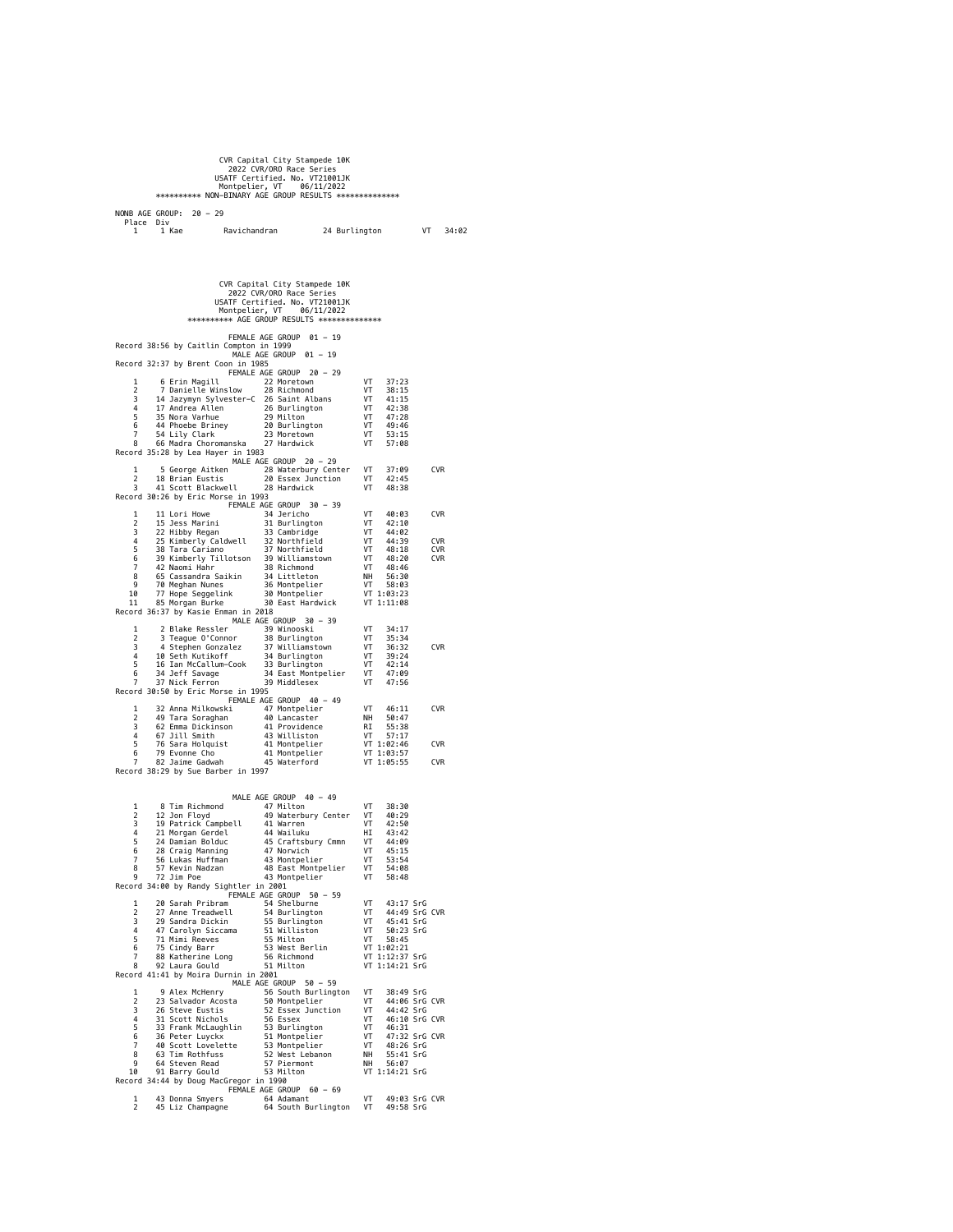|                                                                                                                                                                                                                                                  | CVR Capital City Stampede 10K<br>2022 CVR/ORO Race Series |                            |               |
|--------------------------------------------------------------------------------------------------------------------------------------------------------------------------------------------------------------------------------------------------|-----------------------------------------------------------|----------------------------|---------------|
|                                                                                                                                                                                                                                                  | USATF Certified. No. VT21001JK                            |                            |               |
| Montpelier, VT<br>NORSKSORSKSK NON-BINARY AGE GROUP RESULTS NORSKSORSKSORSK                                                                                                                                                                      | 06/11/2022                                                |                            |               |
|                                                                                                                                                                                                                                                  |                                                           |                            |               |
| NONB AGE GROUP: 20 - 29                                                                                                                                                                                                                          |                                                           |                            |               |
| Place Div<br>1 Kae<br>Ravichandran<br>1                                                                                                                                                                                                          |                                                           | 24 Burlington              | VT<br>34:02   |
|                                                                                                                                                                                                                                                  |                                                           |                            |               |
|                                                                                                                                                                                                                                                  |                                                           |                            |               |
|                                                                                                                                                                                                                                                  |                                                           |                            |               |
|                                                                                                                                                                                                                                                  |                                                           |                            |               |
|                                                                                                                                                                                                                                                  | CVR Capital City Stampede 10K<br>2022 CVR/ORO Race Series |                            |               |
|                                                                                                                                                                                                                                                  | USATF Certified. No. VT21001JK                            |                            |               |
|                                                                                                                                                                                                                                                  | Montpelier, VT 06/11/2022                                 |                            |               |
|                                                                                                                                                                                                                                                  | *********** AGE GROUP RESULTS ***************             |                            |               |
|                                                                                                                                                                                                                                                  | FEMALE AGE GROUP 01 - 19                                  |                            |               |
| Record 38:56 by Caitlin Compton in 1999                                                                                                                                                                                                          | MALE AGE GROUP 01 - 19                                    |                            |               |
| Record 32:37 by Brent Coon in 1985                                                                                                                                                                                                               |                                                           |                            |               |
| 6 Erin Magill<br>1                                                                                                                                                                                                                               | FEMALE AGE GROUP 20 - 29<br>22 Moretown                   | VT<br>37:23                |               |
| 2<br>7 Danielle Winslow                                                                                                                                                                                                                          | 28 Richmond                                               | VT<br>38:15                |               |
| 14 Jacques Sylvester-C 26 Saint Albans<br>3                                                                                                                                                                                                      |                                                           | VT<br>41:15                |               |
| 4<br>17 Andrea Allen<br>17 Andrea Allen<br>18 Nora Varhue<br>14 Phoebe Briney<br>20 Burlington<br>20 Burlington<br>20 Moretown<br>5                                                                                                              | 26 Burlington                                             | VT<br>42:38<br>VT<br>47:28 |               |
| 6                                                                                                                                                                                                                                                |                                                           | VT<br>49:46                |               |
| 54 Lily Clark <sup>23</sup> Moretown<br>66 Madra Choromanska 27 Hardwick<br>$\overline{7}$<br>8                                                                                                                                                  |                                                           | VT<br>53:15<br>VT<br>57:08 |               |
| Record 35:28 by Lea Hayer in 1983                                                                                                                                                                                                                |                                                           |                            |               |
| 1                                                                                                                                                                                                                                                | MALE AGE GROUP 20 - 29                                    | VT<br>37:09                | <b>CVR</b>    |
| 5 George Aitken<br>2<br>18 Brian Eustis                                                                                                                                                                                                          | 28 Waterbury Center<br>20 Essex Junction                  | VT<br>42:45                |               |
| 41 Scott Blackwell<br>3                                                                                                                                                                                                                          | 28 Hardwick                                               | VT<br>48:38                |               |
| Record 30:26 by Eric Morse in 1993                                                                                                                                                                                                               | FEMALE AGE GROUP 30 - 39                                  |                            |               |
| 1<br>11 Lori Howe                                                                                                                                                                                                                                | 34 Jericho                                                | VT<br>40:03                | <b>CVR</b>    |
| 2<br>15 Jess Marini<br>3<br>22 Hibby Regan                                                                                                                                                                                                       | 31 Burlington<br>33 Cambridge                             | VT<br>42:10<br>VT<br>44:02 |               |
| 25 Kimberly Caldwell 32 Northfield<br>38 Tara Cariano 37 Northfield<br>4                                                                                                                                                                         |                                                           | VT<br>44:39                | <b>CVR</b>    |
| 5                                                                                                                                                                                                                                                |                                                           | VT<br>48:18                | <b>CVR</b>    |
| 39 Kimberly Tillotson 39 Williamstown<br>6<br>7                                                                                                                                                                                                  |                                                           | VT<br>48:20<br>VT<br>48:46 | <b>CVR</b>    |
| 8                                                                                                                                                                                                                                                |                                                           | <b>NH</b><br>56:30         |               |
| 9<br>10                                                                                                                                                                                                                                          |                                                           | VT<br>58:03<br>VT 1:03:23  |               |
| 11                                                                                                                                                                                                                                               | 30 East Hardwick                                          | VT 1:11:08                 |               |
| Record 36:37 by Kasie Enman in 2018                                                                                                                                                                                                              | MALE AGE GROUP 30 - 39                                    |                            |               |
| 1<br>שנ וכאוב 1991<br>39 Winooski 39 Winooski 37 Teague 0'Connor<br>4 Stenhen Communication                                                                                                                                                      |                                                           | VT<br>34:17                |               |
| $\mathcal{P}$<br>3                                                                                                                                                                                                                               | 38 Burlington                                             | VT<br>35:34<br>VT<br>36:32 | <b>CVR</b>    |
| 4 Stephen Gonzalez 37 Williamstown<br>10 Seth Kutikoff 34 Burlington<br>4                                                                                                                                                                        |                                                           | VT<br>39:24                |               |
| 5<br>16 Ian McCallum-Cook                                                                                                                                                                                                                        | 34 Burlington<br>33 Burlington                            | VT<br>42:14                |               |
| 34 Jeff Savage<br>6<br>37 Nick Ferron<br>$\overline{7}$                                                                                                                                                                                          | 34 East Montpelier VT<br>39 Middlesex                     | 47:09<br>VT<br>47:56       |               |
| Record 30:50 by Eric Morse in 1995                                                                                                                                                                                                               |                                                           |                            |               |
| 32 Anna Milkowski<br>1                                                                                                                                                                                                                           | FEMALE AGE GROUP 40 - 49<br>47 Montpelier                 | VT<br>46:11                | <b>CVR</b>    |
| 2<br>49 Tara Soraghan                                                                                                                                                                                                                            | 40 Lancaster                                              | NH<br>50:47                |               |
| 3<br>62 Emma Dickinson<br>4                                                                                                                                                                                                                      | 41 Providence                                             | RI<br>55:38<br>VT<br>57:17 |               |
| 67 Jill Smith<br>5<br>76 Sara Holquist                                                                                                                                                                                                           | 43 Williston<br>41 Montpelier                             | VT 1:02:46                 | <b>CVR</b>    |
| 79 Evonne Cho<br>6                                                                                                                                                                                                                               | 41 Montpelier                                             | VT 1:03:57                 |               |
| 82 Jaime Gadwah<br>$\overline{7}$<br>Record 38:29 by Sue Barber in 1997                                                                                                                                                                          | 45 Waterford                                              | VT 1:05:55                 | <b>CVR</b>    |
|                                                                                                                                                                                                                                                  |                                                           |                            |               |
|                                                                                                                                                                                                                                                  | MALE AGE GROUP 40 - 49                                    |                            |               |
| 8 Tim Richmond<br>1                                                                                                                                                                                                                              | 47 Milton                                                 | VT<br>38:30                |               |
| 12 Jon Floyd<br>$\mathcal{P}$<br>3<br>19 Patrick Campbell                                                                                                                                                                                        | 49 Waterbury Center<br>41 Warren                          | VT<br>40:29<br>VT<br>42:50 |               |
| 4<br>21 Morgan Gerdel                                                                                                                                                                                                                            | 44 Wailuku                                                | ΗI<br>43:42                |               |
| 5<br>24 Damian Bolduc<br>6<br>28 Craig Manning                                                                                                                                                                                                   | 45 Craftsbury Cmmn<br>47 Norwich                          | VT<br>44:09<br>VT<br>45:15 |               |
| $\overline{7}$<br>56 Lukas Huffman                                                                                                                                                                                                               | 43 Montpelier                                             | VT<br>53:54                |               |
| 8<br>57 Kevin Nadzan                                                                                                                                                                                                                             | 48 East Montpelier VT 54:08                               |                            |               |
| 72 Jim Poe<br>9<br>Record 34:00 by Randy Sightler in 2001                                                                                                                                                                                        | 43 Montpelier                                             | VT 58:48                   |               |
|                                                                                                                                                                                                                                                  |                                                           |                            |               |
| $\mathbf{1}$<br>2                                                                                                                                                                                                                                |                                                           |                            | 44:49 SrG CVR |
| 3                                                                                                                                                                                                                                                |                                                           |                            |               |
| 4<br>5                                                                                                                                                                                                                                           |                                                           |                            |               |
| 6                                                                                                                                                                                                                                                |                                                           |                            |               |
| 7                                                                                                                                                                                                                                                |                                                           |                            |               |
| 8<br>Record 41:41 by Moira Durnin in 2001                                                                                                                                                                                                        |                                                           |                            |               |
|                                                                                                                                                                                                                                                  |                                                           |                            |               |
| $\mathbf{1}$<br>2                                                                                                                                                                                                                                |                                                           |                            |               |
| 3                                                                                                                                                                                                                                                |                                                           |                            |               |
| 4<br>5                                                                                                                                                                                                                                           |                                                           |                            |               |
| 6                                                                                                                                                                                                                                                |                                                           |                            |               |
| 7                                                                                                                                                                                                                                                |                                                           |                            |               |
| MALE AGE GROUP $50 - 59$<br>23 Salvador Acosta $56$ South Burlington VT 38:49 SrG CVR<br>23 Salvador Acosta $59$ Montpelier VT 44:06 SrG CVR<br>21 Scott Richols $52$ Essex Junction VT 46:10 SrG CVR<br>33 Frank McLaughlin $53$ Burl<br>8<br>9 |                                                           |                            |               |
| 10                                                                                                                                                                                                                                               |                                                           |                            |               |
| Record 34:44 by Doug MacGregor in 1990<br>FEMALE AGE GROUP 60 - 69<br>1 43 Donna Smyers 64 Adamant VT 49:03 SrG<br>2 45 Liz Champagne 64 South Burlington VT 49:58 SrG                                                                           |                                                           |                            |               |
|                                                                                                                                                                                                                                                  |                                                           | VT 49:03 SrG CVR           |               |
|                                                                                                                                                                                                                                                  |                                                           |                            |               |